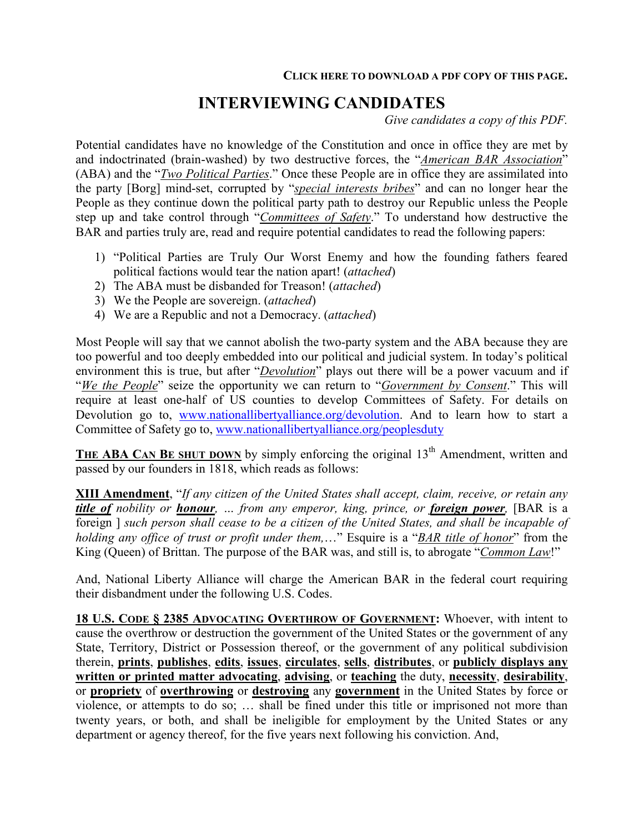# **INTERVIEWING CANDIDATES**

*Give candidates a copy of this PDF.* 

Potential candidates have no knowledge of the Constitution and once in office they are met by and indoctrinated (brain-washed) by two destructive forces, the "*American BAR Association*" (ABA) and the "*Two Political Parties*." Once these People are in office they are assimilated into the party [Borg] mind-set, corrupted by "*special interests bribes*" and can no longer hear the People as they continue down the political party path to destroy our Republic unless the People step up and take control through "*Committees of Safety*." To understand how destructive the BAR and parties truly are, read and require potential candidates to read the following papers:

- 1) "Political Parties are Truly Our Worst Enemy and how the founding fathers feared political factions would tear the nation apart! (*attached*)
- 2) The ABA must be disbanded for Treason! (*attached*)
- 3) We the People are sovereign. (*attached*)
- 4) We are a Republic and not a Democracy. (*attached*)

Most People will say that we cannot abolish the two-party system and the ABA because they are too powerful and too deeply embedded into our political and judicial system. In today's political environment this is true, but after "*Devolution*" plays out there will be a power vacuum and if "*We the People*" seize the opportunity we can return to "*Government by Consent*." This will require at least one-half of US counties to develop Committees of Safety. For details on Devolution go to, www.nationallibertyalliance.org/devolution. And to learn how to start a Committee of Safety go to, www.nationallibertyalliance.org/peoplesduty

**THE ABA CAN BE SHUT DOWN** by simply enforcing the original  $13<sup>th</sup>$  Amendment, written and passed by our founders in 1818, which reads as follows:

**XIII Amendment**, "*If any citizen of the United States shall accept, claim, receive, or retain any title of nobility or honour, … from any emperor, king, prince, or foreign power,* [BAR is a foreign ] *such person shall cease to be a citizen of the United States, and shall be incapable of holding any office of trust or profit under them,*…" Esquire is a "*BAR title of honor*" from the King (Queen) of Brittan. The purpose of the BAR was, and still is, to abrogate "*Common Law*!"

And, National Liberty Alliance will charge the American BAR in the federal court requiring their disbandment under the following U.S. Codes.

**18 U.S. CODE § 2385 ADVOCATING OVERTHROW OF GOVERNMENT:** Whoever, with intent to cause the overthrow or destruction the government of the United States or the government of any State, Territory, District or Possession thereof, or the government of any political subdivision therein, **prints**, **publishes**, **edits**, **issues**, **circulates**, **sells**, **distributes**, or **publicly displays any written or printed matter advocating**, **advising**, or **teaching** the duty, **necessity**, **desirability**, or **propriety** of **overthrowing** or **destroying** any **government** in the United States by force or violence, or attempts to do so; … shall be fined under this title or imprisoned not more than twenty years, or both, and shall be ineligible for employment by the United States or any department or agency thereof, for the five years next following his conviction. And,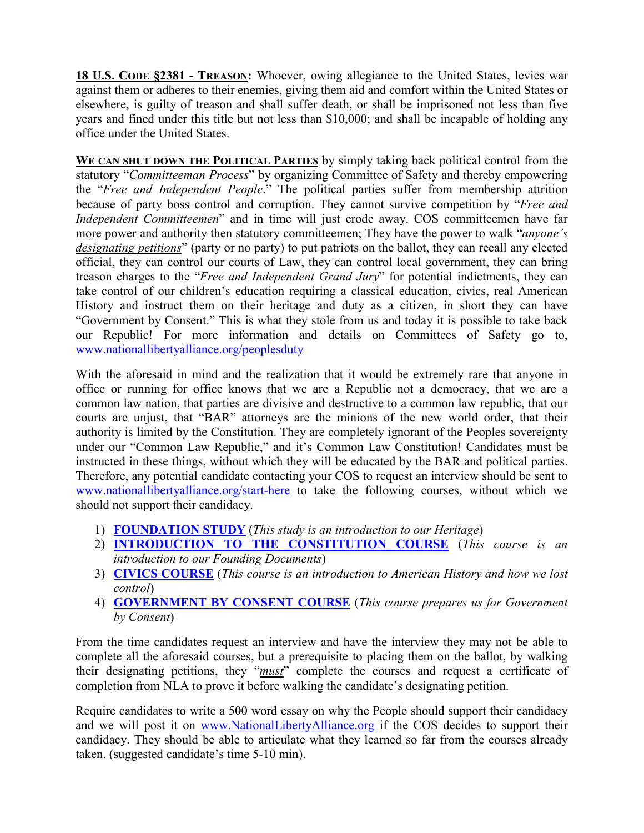**18 U.S. CODE §2381 - TREASON:** Whoever, owing allegiance to the United States, levies war against them or adheres to their enemies, giving them aid and comfort within the United States or elsewhere, is guilty of treason and shall suffer death, or shall be imprisoned not less than five years and fined under this title but not less than \$10,000; and shall be incapable of holding any office under the United States.

**WE CAN SHUT DOWN THE POLITICAL PARTIES** by simply taking back political control from the statutory "*Committeeman Process*" by organizing Committee of Safety and thereby empowering the "*Free and Independent People*." The political parties suffer from membership attrition because of party boss control and corruption. They cannot survive competition by "*Free and Independent Committeemen*" and in time will just erode away. COS committeemen have far more power and authority then statutory committeemen; They have the power to walk "*anyone's designating petitions*" (party or no party) to put patriots on the ballot, they can recall any elected official, they can control our courts of Law, they can control local government, they can bring treason charges to the "*Free and Independent Grand Jury*" for potential indictments, they can take control of our children's education requiring a classical education, civics, real American History and instruct them on their heritage and duty as a citizen, in short they can have "Government by Consent." This is what they stole from us and today it is possible to take back our Republic! For more information and details on Committees of Safety go to, www.nationallibertyalliance.org/peoplesduty

With the aforesaid in mind and the realization that it would be extremely rare that anyone in office or running for office knows that we are a Republic not a democracy, that we are a common law nation, that parties are divisive and destructive to a common law republic, that our courts are unjust, that "BAR" attorneys are the minions of the new world order, that their authority is limited by the Constitution. They are completely ignorant of the Peoples sovereignty under our "Common Law Republic," and it's Common Law Constitution! Candidates must be instructed in these things, without which they will be educated by the BAR and political parties. Therefore, any potential candidate contacting your COS to request an interview should be sent to www.nationallibertyalliance.org/start-here to take the following courses, without which we should not support their candidacy.

- 1) **FOUNDATION STUDY** (*This study is an introduction to our Heritage*)
- 2) **INTRODUCTION TO THE CONSTITUTION COURSE** (*This course is an introduction to our Founding Documents*)
- 3) **CIVICS COURSE** (*This course is an introduction to American History and how we lost control*)
- 4) **GOVERNMENT BY CONSENT COURSE** (*This course prepares us for Government by Consent*)

From the time candidates request an interview and have the interview they may not be able to complete all the aforesaid courses, but a prerequisite to placing them on the ballot, by walking their designating petitions, they "*must*" complete the courses and request a certificate of completion from NLA to prove it before walking the candidate's designating petition.

Require candidates to write a 500 word essay on why the People should support their candidacy and we will post it on www.NationalLibertyAlliance.org if the COS decides to support their candidacy. They should be able to articulate what they learned so far from the courses already taken. (suggested candidate's time 5-10 min).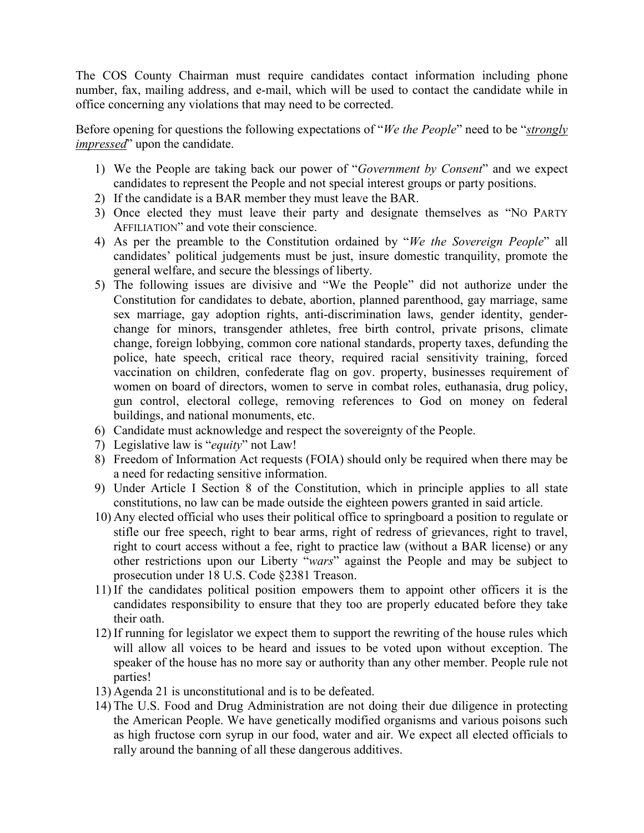The COS County Chairman must require candidates contact information including phone number, fax, mailing address, and e-mail, which will be used to contact the candidate while in office concerning any violations that may need to be corrected.

Before opening for questions the following expectations of "*We the People*" need to be "*strongly impressed*" upon the candidate.

- 1) We the People are taking back our power of "*Government by Consent*" and we expect candidates to represent the People and not special interest groups or party positions.
- 2) If the candidate is a BAR member they must leave the BAR.
- 3) Once elected they must leave their party and designate themselves as "NO PARTY AFFILIATION" and vote their conscience.
- 4) As per the preamble to the Constitution ordained by "*We the Sovereign People*" all candidates' political judgements must be just, insure domestic tranquility, promote the general welfare, and secure the blessings of liberty.
- 5) The following issues are divisive and "We the People" did not authorize under the Constitution for candidates to debate, abortion, planned parenthood, gay marriage, same sex marriage, gay adoption rights, anti-discrimination laws, gender identity, genderchange for minors, transgender athletes, free birth control, private prisons, climate change, foreign lobbying, common core national standards, property taxes, defunding the police, hate speech, critical race theory, required racial sensitivity training, forced vaccination on children, confederate flag on gov. property, businesses requirement of women on board of directors, women to serve in combat roles, euthanasia, drug policy, gun control, electoral college, removing references to God on money on federal buildings, and national monuments, etc.
- 6) Candidate must acknowledge and respect the sovereignty of the People.
- 7) Legislative law is "*equity*" not Law!
- 8) Freedom of Information Act requests (FOIA) should only be required when there may be a need for redacting sensitive information.
- 9) Under Article I Section 8 of the Constitution, which in principle applies to all state constitutions, no law can be made outside the eighteen powers granted in said article.
- 10) Any elected official who uses their political office to springboard a position to regulate or stifle our free speech, right to bear arms, right of redress of grievances, right to travel, right to court access without a fee, right to practice law (without a BAR license) or any other restrictions upon our Liberty "*wars*" against the People and may be subject to prosecution under 18 U.S. Code §2381 Treason.
- 11) If the candidates political position empowers them to appoint other officers it is the candidates responsibility to ensure that they too are properly educated before they take their oath.
- 12) If running for legislator we expect them to support the rewriting of the house rules which will allow all voices to be heard and issues to be voted upon without exception. The speaker of the house has no more say or authority than any other member. People rule not parties!
- 13) Agenda 21 is unconstitutional and is to be defeated.
- 14) The U.S. Food and Drug Administration are not doing their due diligence in protecting the American People. We have genetically modified organisms and various poisons such as high fructose corn syrup in our food, water and air. We expect all elected officials to rally around the banning of all these dangerous additives.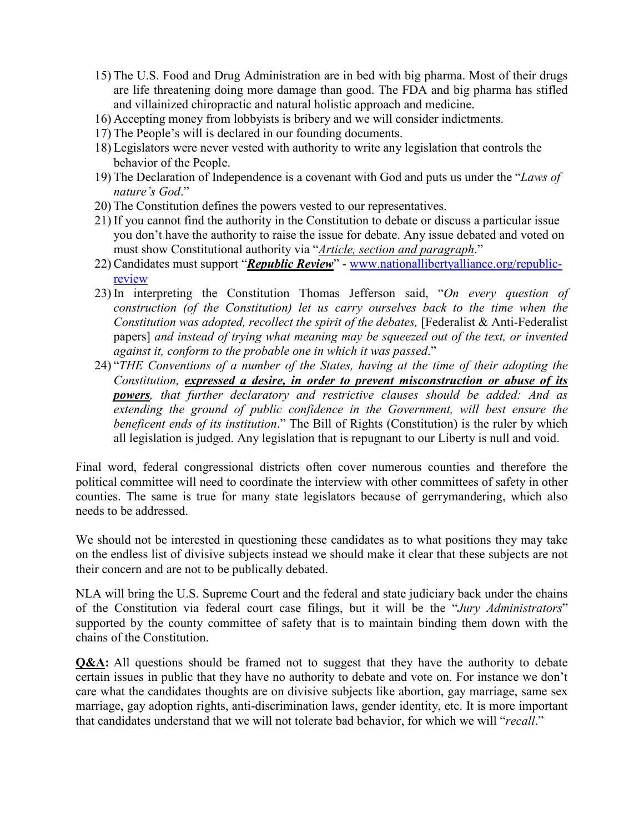- 15) The U.S. Food and Drug Administration are in bed with big pharma. Most of their drugs are life threatening doing more damage than good. The FDA and big pharma has stifled and villainized chiropractic and natural holistic approach and medicine.
- 16) Accepting money from lobbyists is bribery and we will consider indictments.
- 17) The People's will is declared in our founding documents.
- 18) Legislators were never vested with authority to write any legislation that controls the behavior of the People.
- 19) The Declaration of Independence is a covenant with God and puts us under the "*Laws of nature's God*."
- 20) The Constitution defines the powers vested to our representatives.
- 21) If you cannot find the authority in the Constitution to debate or discuss a particular issue you don't have the authority to raise the issue for debate. Any issue debated and voted on must show Constitutional authority via "*Article, section and paragraph*."
- 22) Candidates must support "*Republic Review*" www.nationallibertyalliance.org/republicreview
- 23) In interpreting the Constitution Thomas Jefferson said, "*On every question of construction (of the Constitution) let us carry ourselves back to the time when the Constitution was adopted, recollect the spirit of the debates, [Federalist & Anti-Federalist* papers] *and instead of trying what meaning may be squeezed out of the text, or invented against it, conform to the probable one in which it was passed*."
- 24) "*THE Conventions of a number of the States, having at the time of their adopting the Constitution, expressed a desire, in order to prevent misconstruction or abuse of its powers, that further declaratory and restrictive clauses should be added: And as extending the ground of public confidence in the Government, will best ensure the beneficent ends of its institution*." The Bill of Rights (Constitution) is the ruler by which all legislation is judged. Any legislation that is repugnant to our Liberty is null and void.

Final word, federal congressional districts often cover numerous counties and therefore the political committee will need to coordinate the interview with other committees of safety in other counties. The same is true for many state legislators because of gerrymandering, which also needs to be addressed.

We should not be interested in questioning these candidates as to what positions they may take on the endless list of divisive subjects instead we should make it clear that these subjects are not their concern and are not to be publically debated.

NLA will bring the U.S. Supreme Court and the federal and state judiciary back under the chains of the Constitution via federal court case filings, but it will be the "*Jury Administrators*" supported by the county committee of safety that is to maintain binding them down with the chains of the Constitution.

**Q&A:** All questions should be framed not to suggest that they have the authority to debate certain issues in public that they have no authority to debate and vote on. For instance we don't care what the candidates thoughts are on divisive subjects like abortion, gay marriage, same sex marriage, gay adoption rights, anti-discrimination laws, gender identity, etc. It is more important that candidates understand that we will not tolerate bad behavior, for which we will "*recall*."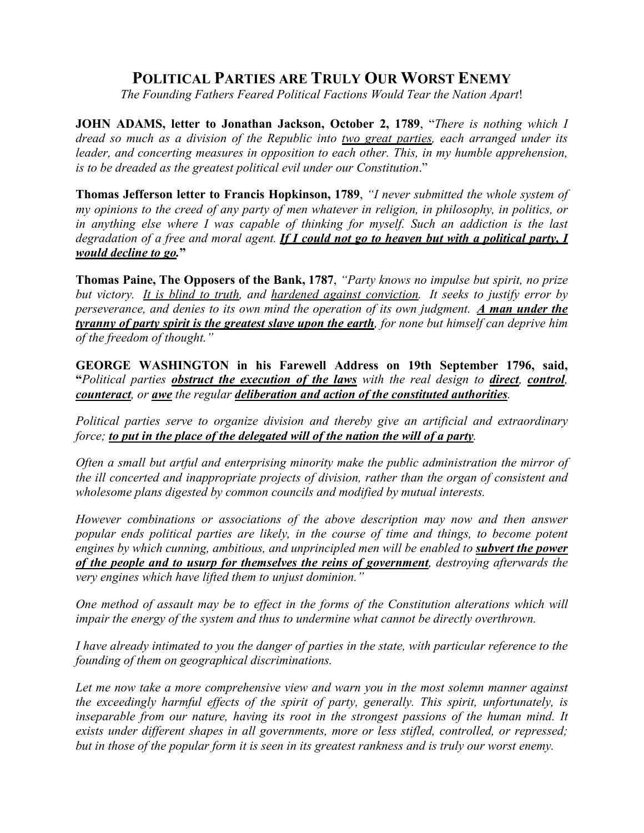## **POLITICAL PARTIES ARE TRULY OUR WORST ENEMY**

*The Founding Fathers Feared Political Factions Would Tear the Nation Apart*!

**JOHN ADAMS, letter to Jonathan Jackson, October 2, 1789**, "*There is nothing which I dread so much as a division of the Republic into two great parties, each arranged under its*  leader, and concerting measures in opposition to each other. This, in my humble apprehension, *is to be dreaded as the greatest political evil under our Constitution*."

**Thomas Jefferson letter to Francis Hopkinson, 1789**, *"I never submitted the whole system of my opinions to the creed of any party of men whatever in religion, in philosophy, in politics, or in anything else where I was capable of thinking for myself. Such an addiction is the last degradation of a free and moral agent. If I could not go to heaven but with a political party, I would decline to go.***"**

**Thomas Paine, The Opposers of the Bank, 1787**, *"Party knows no impulse but spirit, no prize but victory. It is blind to truth, and hardened against conviction. It seeks to justify error by perseverance, and denies to its own mind the operation of its own judgment. <i>A man under the tyranny of party spirit is the greatest slave upon the earth, for none but himself can deprive him of the freedom of thought."*

**GEORGE WASHINGTON in his Farewell Address on 19th September 1796, said, "***Political parties obstruct the execution of the laws with the real design to direct, control, counteract, or awe the regular deliberation and action of the constituted authorities.* 

*Political parties serve to organize division and thereby give an artificial and extraordinary force; to put in the place of the delegated will of the nation the will of a party.* 

*Often a small but artful and enterprising minority make the public administration the mirror of the ill concerted and inappropriate projects of division, rather than the organ of consistent and wholesome plans digested by common councils and modified by mutual interests.* 

*However combinations or associations of the above description may now and then answer popular ends political parties are likely, in the course of time and things, to become potent engines by which cunning, ambitious, and unprincipled men will be enabled to <i>subvert the power of the people and to usurp for themselves the reins of government, destroying afterwards the very engines which have lifted them to unjust dominion."* 

*One method of assault may be to effect in the forms of the Constitution alterations which will impair the energy of the system and thus to undermine what cannot be directly overthrown.* 

*I have already intimated to you the danger of parties in the state, with particular reference to the founding of them on geographical discriminations.* 

*Let me now take a more comprehensive view and warn you in the most solemn manner against the exceedingly harmful effects of the spirit of party, generally. This spirit, unfortunately, is inseparable from our nature, having its root in the strongest passions of the human mind. It exists under different shapes in all governments, more or less stifled, controlled, or repressed; but in those of the popular form it is seen in its greatest rankness and is truly our worst enemy.*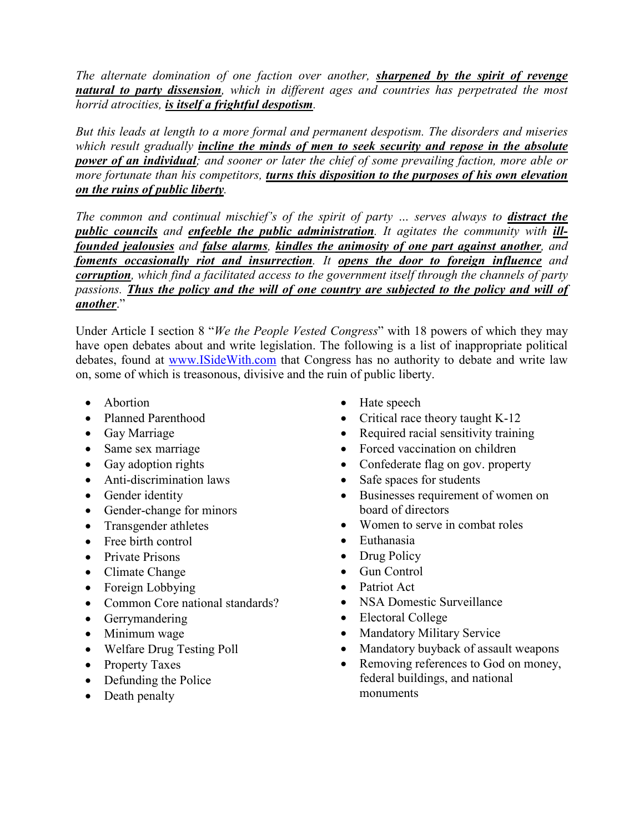*The alternate domination of one faction over another, sharpened by the spirit of revenge natural to party dissension, which in different ages and countries has perpetrated the most horrid atrocities, is itself a frightful despotism.* 

*But this leads at length to a more formal and permanent despotism. The disorders and miseries which result gradually incline the minds of men to seek security and repose in the absolute power of an individual; and sooner or later the chief of some prevailing faction, more able or more fortunate than his competitors, turns this disposition to the purposes of his own elevation on the ruins of public liberty.*

The common and continual mischief's of the spirit of party ... serves always to **distract the** *public councils and enfeeble the public administration. It agitates the community with illfounded jealousies and false alarms, kindles the animosity of one part against another, and foments occasionally riot and insurrection. It opens the door to foreign influence and corruption, which find a facilitated access to the government itself through the channels of party passions. Thus the policy and the will of one country are subjected to the policy and will of another*."

Under Article I section 8 "*We the People Vested Congress*" with 18 powers of which they may have open debates about and write legislation. The following is a list of inappropriate political debates, found at www.ISideWith.com that Congress has no authority to debate and write law on, some of which is treasonous, divisive and the ruin of public liberty.

- Abortion
- Planned Parenthood
- Gay Marriage
- Same sex marriage
- Gay adoption rights
- Anti-discrimination laws
- Gender identity
- Gender-change for minors
- Transgender athletes
- Free birth control
- Private Prisons
- Climate Change
- Foreign Lobbying
- Common Core national standards?
- Gerrymandering
- Minimum wage
- Welfare Drug Testing Poll
- Property Taxes
- Defunding the Police
- Death penalty
- Hate speech
- Critical race theory taught K-12
- Required racial sensitivity training
- Forced vaccination on children
- Confederate flag on gov. property
- Safe spaces for students
- Businesses requirement of women on board of directors
- Women to serve in combat roles
- Euthanasia
- Drug Policy
- Gun Control
- Patriot Act
- NSA Domestic Surveillance
- Electoral College
- Mandatory Military Service
- Mandatory buyback of assault weapons
- Removing references to God on money, federal buildings, and national monuments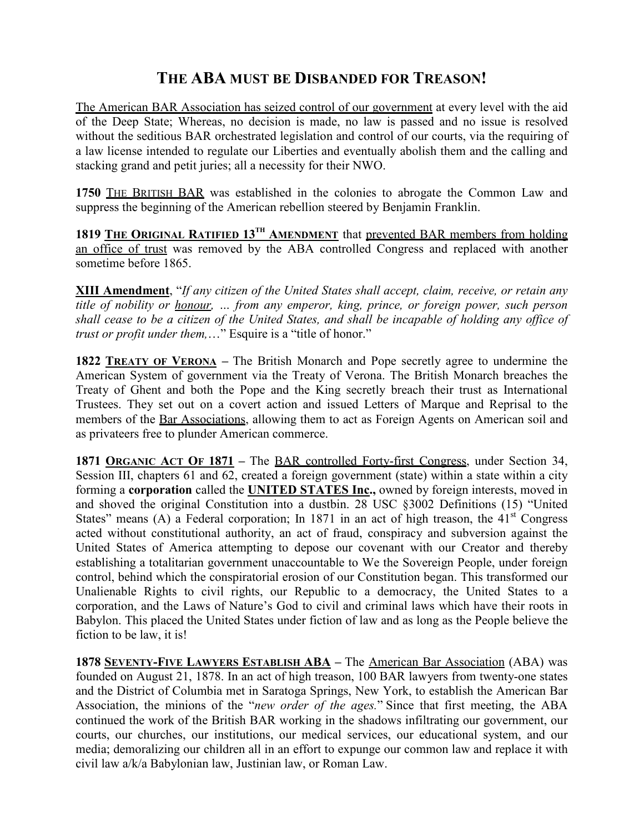## **THE ABA MUST BE DISBANDED FOR TREASON!**

The American BAR Association has seized control of our government at every level with the aid of the Deep State; Whereas, no decision is made, no law is passed and no issue is resolved without the seditious BAR orchestrated legislation and control of our courts, via the requiring of a law license intended to regulate our Liberties and eventually abolish them and the calling and stacking grand and petit juries; all a necessity for their NWO.

**1750** THE BRITISH BAR was established in the colonies to abrogate the Common Law and suppress the beginning of the American rebellion steered by Benjamin Franklin.

**1819 THE ORIGINAL RATIFIED 13TH AMENDMENT** that prevented BAR members from holding an office of trust was removed by the ABA controlled Congress and replaced with another sometime before 1865.

**XIII Amendment**, "*If any citizen of the United States shall accept, claim, receive, or retain any title of nobility or honour, … from any emperor, king, prince, or foreign power, such person shall cease to be a citizen of the United States, and shall be incapable of holding any office of trust or profit under them,...*" Esquire is a "title of honor."

**1822 TREATY OF VERONA –** The British Monarch and Pope secretly agree to undermine the American System of government via the Treaty of Verona. The British Monarch breaches the Treaty of Ghent and both the Pope and the King secretly breach their trust as International Trustees. They set out on a covert action and issued Letters of Marque and Reprisal to the members of the Bar Associations, allowing them to act as Foreign Agents on American soil and as privateers free to plunder American commerce.

**1871 ORGANIC ACT OF 1871 –** The BAR controlled Forty-first Congress, under Section 34, Session III, chapters 61 and 62, created a foreign government (state) within a state within a city forming a **corporation** called the **UNITED STATES Inc.,** owned by foreign interests, moved in and shoved the original Constitution into a dustbin. 28 USC §3002 Definitions (15) "United States" means (A) a Federal corporation; In 1871 in an act of high treason, the  $41<sup>st</sup>$  Congress acted without constitutional authority, an act of fraud, conspiracy and subversion against the United States of America attempting to depose our covenant with our Creator and thereby establishing a totalitarian government unaccountable to We the Sovereign People, under foreign control, behind which the conspiratorial erosion of our Constitution began. This transformed our Unalienable Rights to civil rights, our Republic to a democracy, the United States to a corporation, and the Laws of Nature's God to civil and criminal laws which have their roots in Babylon. This placed the United States under fiction of law and as long as the People believe the fiction to be law, it is!

**1878 SEVENTY-FIVE LAWYERS ESTABLISH ABA –** The American Bar Association (ABA) was founded on August 21, 1878. In an act of high treason, 100 BAR lawyers from twenty-one states and the District of Columbia met in Saratoga Springs, New York, to establish the American Bar Association, the minions of the "*new order of the ages.*" Since that first meeting, the ABA continued the work of the British BAR working in the shadows infiltrating our government, our courts, our churches, our institutions, our medical services, our educational system, and our media; demoralizing our children all in an effort to expunge our common law and replace it with civil law a/k/a Babylonian law, Justinian law, or Roman Law.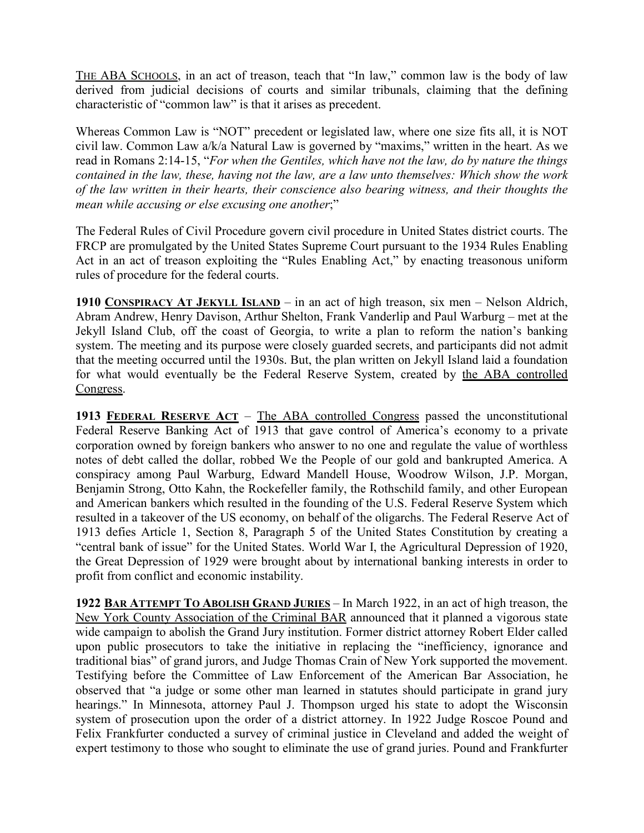THE ABA SCHOOLS, in an act of treason, teach that "In law," common law is the body of law derived from judicial decisions of courts and similar tribunals, claiming that the defining characteristic of "common law" is that it arises as precedent.

Whereas Common Law is "NOT" precedent or legislated law, where one size fits all, it is NOT civil law. Common Law a/k/a Natural Law is governed by "maxims," written in the heart. As we read in Romans 2:14-15, "*For when the Gentiles, which have not the law, do by nature the things contained in the law, these, having not the law, are a law unto themselves: Which show the work of the law written in their hearts, their conscience also bearing witness, and their thoughts the mean while accusing or else excusing one another*;"

The Federal Rules of Civil Procedure govern civil procedure in United States district courts. The FRCP are promulgated by the United States Supreme Court pursuant to the 1934 Rules Enabling Act in an act of treason exploiting the "Rules Enabling Act," by enacting treasonous uniform rules of procedure for the federal courts.

**1910 CONSPIRACY AT JEKYLL ISLAND** – in an act of high treason, six men – Nelson Aldrich, Abram Andrew, Henry Davison, Arthur Shelton, Frank Vanderlip and Paul Warburg – met at the Jekyll Island Club, off the coast of Georgia, to write a plan to reform the nation's banking system. The meeting and its purpose were closely guarded secrets, and participants did not admit that the meeting occurred until the 1930s. But, the plan written on Jekyll Island laid a foundation for what would eventually be the Federal Reserve System, created by the ABA controlled Congress.

**1913 FEDERAL RESERVE ACT** – The ABA controlled Congress passed the unconstitutional Federal Reserve Banking Act of 1913 that gave control of America's economy to a private corporation owned by foreign bankers who answer to no one and regulate the value of worthless notes of debt called the dollar, robbed We the People of our gold and bankrupted America. A conspiracy among Paul Warburg, Edward Mandell House, Woodrow Wilson, J.P. Morgan, Benjamin Strong, Otto Kahn, the Rockefeller family, the Rothschild family, and other European and American bankers which resulted in the founding of the U.S. Federal Reserve System which resulted in a takeover of the US economy, on behalf of the oligarchs. The Federal Reserve Act of 1913 defies Article 1, Section 8, Paragraph 5 of the United States Constitution by creating a "central bank of issue" for the United States. World War I, the Agricultural Depression of 1920, the Great Depression of 1929 were brought about by international banking interests in order to profit from conflict and economic instability.

**1922 BAR ATTEMPT TO ABOLISH GRAND JURIES** – In March 1922, in an act of high treason, the New York County Association of the Criminal BAR announced that it planned a vigorous state wide campaign to abolish the Grand Jury institution. Former district attorney Robert Elder called upon public prosecutors to take the initiative in replacing the "inefficiency, ignorance and traditional bias" of grand jurors, and Judge Thomas Crain of New York supported the movement. Testifying before the Committee of Law Enforcement of the American Bar Association, he observed that "a judge or some other man learned in statutes should participate in grand jury hearings." In Minnesota, attorney Paul J. Thompson urged his state to adopt the Wisconsin system of prosecution upon the order of a district attorney. In 1922 Judge Roscoe Pound and Felix Frankfurter conducted a survey of criminal justice in Cleveland and added the weight of expert testimony to those who sought to eliminate the use of grand juries. Pound and Frankfurter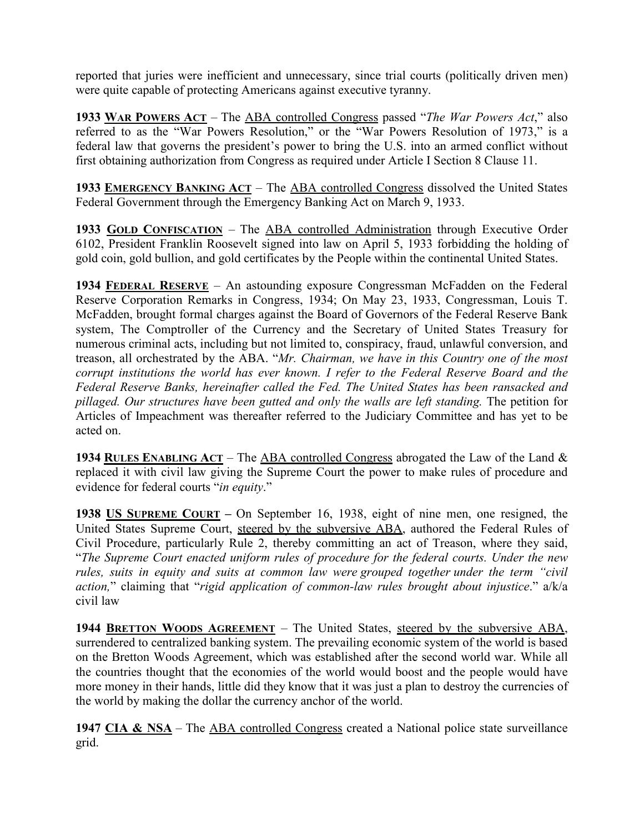reported that juries were inefficient and unnecessary, since trial courts (politically driven men) were quite capable of protecting Americans against executive tyranny.

**1933 WAR POWERS ACT** – The ABA controlled Congress passed "*The War Powers Act*," also referred to as the "War Powers Resolution," or the "War Powers Resolution of 1973," is a federal law that governs the president's power to bring the U.S. into an armed conflict without first obtaining authorization from Congress as required under Article I Section 8 Clause 11.

**1933 EMERGENCY BANKING ACT** – The ABA controlled Congress dissolved the United States Federal Government through the Emergency Banking Act on March 9, 1933.

**1933 GOLD CONFISCATION** – The ABA controlled Administration through Executive Order 6102, President Franklin Roosevelt signed into law on April 5, 1933 forbidding the holding of gold coin, gold bullion, and gold certificates by the People within the continental United States.

**1934 FEDERAL RESERVE** – An astounding exposure Congressman McFadden on the Federal Reserve Corporation Remarks in Congress, 1934; On May 23, 1933, Congressman, Louis T. McFadden, brought formal charges against the Board of Governors of the Federal Reserve Bank system, The Comptroller of the Currency and the Secretary of United States Treasury for numerous criminal acts, including but not limited to, conspiracy, fraud, unlawful conversion, and treason, all orchestrated by the ABA. "*Mr. Chairman, we have in this Country one of the most corrupt institutions the world has ever known. I refer to the Federal Reserve Board and the Federal Reserve Banks, hereinafter called the Fed. The United States has been ransacked and pillaged. Our structures have been gutted and only the walls are left standing.* The petition for Articles of Impeachment was thereafter referred to the Judiciary Committee and has yet to be acted on.

**1934 RULES ENABLING ACT** – The ABA controlled Congress abrogated the Law of the Land & replaced it with civil law giving the Supreme Court the power to make rules of procedure and evidence for federal courts "*in equity*."

**1938 US SUPREME COURT –** On September 16, 1938, eight of nine men, one resigned, the United States Supreme Court, steered by the subversive ABA, authored the Federal Rules of Civil Procedure, particularly Rule 2, thereby committing an act of Treason, where they said, "*The Supreme Court enacted uniform rules of procedure for the federal courts. Under the new rules, suits in equity and suits at common law were grouped together under the term "civil action,*" claiming that "*rigid application of common-law rules brought about injustice*." a/k/a civil law

**1944 BRETTON WOODS AGREEMENT** – The United States, steered by the subversive ABA, surrendered to centralized banking system. The prevailing economic system of the world is based on the Bretton Woods Agreement, which was established after the second world war. While all the countries thought that the economies of the world would boost and the people would have more money in their hands, little did they know that it was just a plan to destroy the currencies of the world by making the dollar the currency anchor of the world.

1947 CIA & NSA – The ABA controlled Congress created a National police state surveillance grid.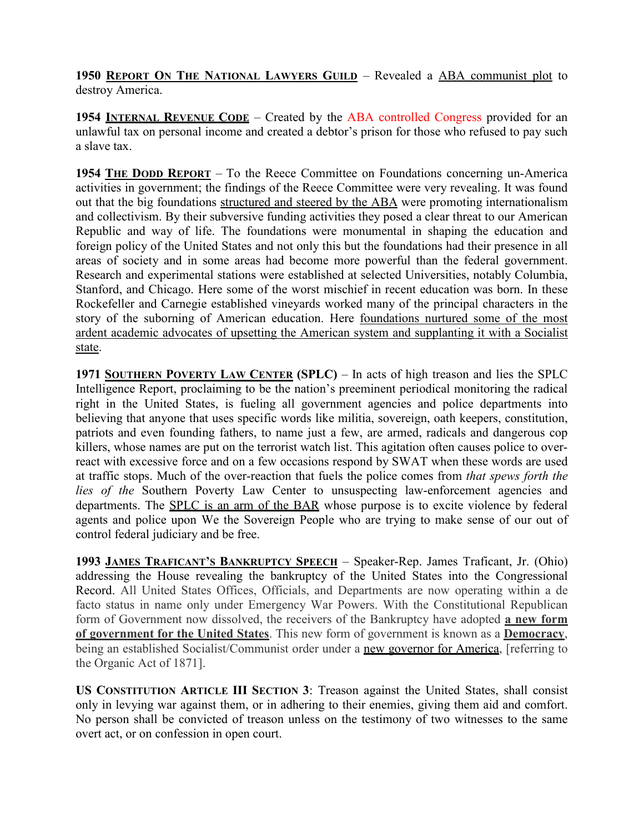**1950 REPORT ON THE NATIONAL LAWYERS GUILD** – Revealed a ABA communist plot to destroy America.

**1954 INTERNAL REVENUE CODE** – Created by the ABA controlled Congress provided for an unlawful tax on personal income and created a debtor's prison for those who refused to pay such a slave tax.

**1954 THE DODD REPORT** – To the Reece Committee on Foundations concerning un-America activities in government; the findings of the Reece Committee were very revealing. It was found out that the big foundations structured and steered by the ABA were promoting internationalism and collectivism. By their subversive funding activities they posed a clear threat to our American Republic and way of life. The foundations were monumental in shaping the education and foreign policy of the United States and not only this but the foundations had their presence in all areas of society and in some areas had become more powerful than the federal government. Research and experimental stations were established at selected Universities, notably Columbia, Stanford, and Chicago. Here some of the worst mischief in recent education was born. In these Rockefeller and Carnegie established vineyards worked many of the principal characters in the story of the suborning of American education. Here foundations nurtured some of the most ardent academic advocates of upsetting the American system and supplanting it with a Socialist state.

**1971 SOUTHERN POVERTY LAW CENTER (SPLC)** – In acts of high treason and lies the SPLC Intelligence Report, proclaiming to be the nation's preeminent periodical monitoring the radical right in the United States, is fueling all government agencies and police departments into believing that anyone that uses specific words like militia, sovereign, oath keepers, constitution, patriots and even founding fathers, to name just a few, are armed, radicals and dangerous cop killers, whose names are put on the terrorist watch list. This agitation often causes police to overreact with excessive force and on a few occasions respond by SWAT when these words are used at traffic stops. Much of the over-reaction that fuels the police comes from *that spews forth the lies of the* Southern Poverty Law Center to unsuspecting law-enforcement agencies and departments. The SPLC is an arm of the BAR whose purpose is to excite violence by federal agents and police upon We the Sovereign People who are trying to make sense of our out of control federal judiciary and be free.

**1993 JAMES TRAFICANT'S BANKRUPTCY SPEECH** – Speaker-Rep. James Traficant, Jr. (Ohio) addressing the House revealing the bankruptcy of the United States into the Congressional Record. All United States Offices, Officials, and Departments are now operating within a de facto status in name only under Emergency War Powers. With the Constitutional Republican form of Government now dissolved, the receivers of the Bankruptcy have adopted **a new form of government for the United States**. This new form of government is known as a **Democracy**, being an established Socialist/Communist order under a new governor for America, [referring to the Organic Act of 1871].

**US CONSTITUTION ARTICLE III SECTION 3**: Treason against the United States, shall consist only in levying war against them, or in adhering to their enemies, giving them aid and comfort. No person shall be convicted of treason unless on the testimony of two witnesses to the same overt act, or on confession in open court.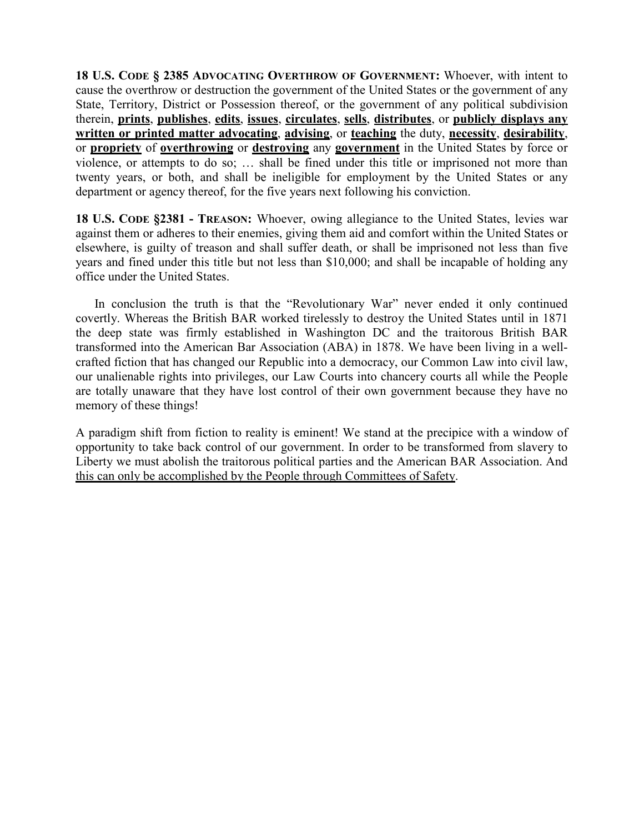**18 U.S. CODE § 2385 ADVOCATING OVERTHROW OF GOVERNMENT:** Whoever, with intent to cause the overthrow or destruction the government of the United States or the government of any State, Territory, District or Possession thereof, or the government of any political subdivision therein, **prints**, **publishes**, **edits**, **issues**, **circulates**, **sells**, **distributes**, or **publicly displays any written or printed matter advocating**, **advising**, or **teaching** the duty, **necessity**, **desirability**, or **propriety** of **overthrowing** or **destroying** any **government** in the United States by force or violence, or attempts to do so; … shall be fined under this title or imprisoned not more than twenty years, or both, and shall be ineligible for employment by the United States or any department or agency thereof, for the five years next following his conviction.

**18 U.S. CODE §2381 - TREASON:** Whoever, owing allegiance to the United States, levies war against them or adheres to their enemies, giving them aid and comfort within the United States or elsewhere, is guilty of treason and shall suffer death, or shall be imprisoned not less than five years and fined under this title but not less than \$10,000; and shall be incapable of holding any office under the United States.

In conclusion the truth is that the "Revolutionary War" never ended it only continued covertly. Whereas the British BAR worked tirelessly to destroy the United States until in 1871 the deep state was firmly established in Washington DC and the traitorous British BAR transformed into the American Bar Association (ABA) in 1878. We have been living in a wellcrafted fiction that has changed our Republic into a democracy, our Common Law into civil law, our unalienable rights into privileges, our Law Courts into chancery courts all while the People are totally unaware that they have lost control of their own government because they have no memory of these things!

A paradigm shift from fiction to reality is eminent! We stand at the precipice with a window of opportunity to take back control of our government. In order to be transformed from slavery to Liberty we must abolish the traitorous political parties and the American BAR Association. And this can only be accomplished by the People through Committees of Safety.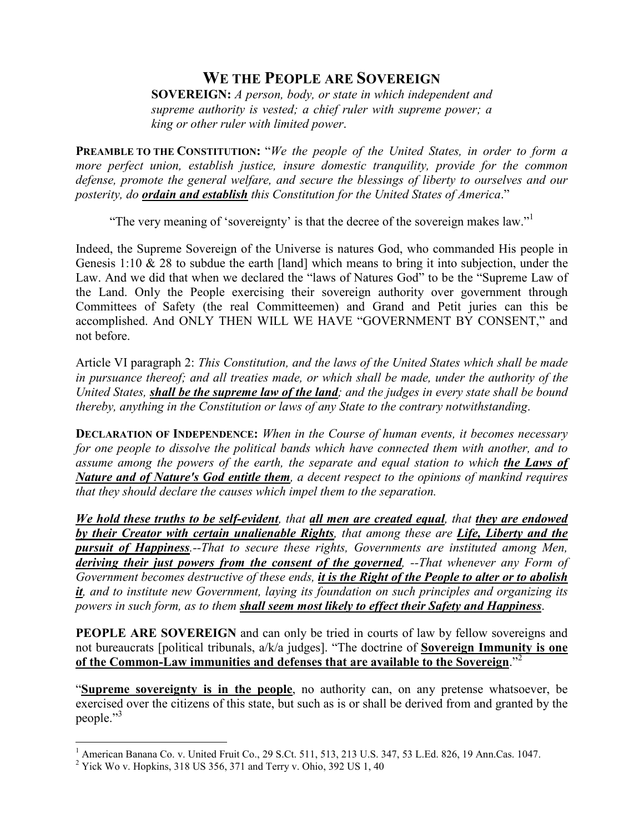## **WE THE PEOPLE ARE SOVEREIGN**

**SOVEREIGN:** *A person, body, or state in which independent and supreme authority is vested; a chief ruler with supreme power; a king or other ruler with limited power*.

**PREAMBLE TO THE CONSTITUTION:** "*We the people of the United States, in order to form a more perfect union, establish justice, insure domestic tranquility, provide for the common defense, promote the general welfare, and secure the blessings of liberty to ourselves and our posterity, do ordain and establish this Constitution for the United States of America*."

"The very meaning of 'sovereignty' is that the decree of the sovereign makes law."<sup>1</sup>

Indeed, the Supreme Sovereign of the Universe is natures God, who commanded His people in Genesis 1:10  $\&$  28 to subdue the earth [land] which means to bring it into subjection, under the Law. And we did that when we declared the "laws of Natures God" to be the "Supreme Law of the Land. Only the People exercising their sovereign authority over government through Committees of Safety (the real Committeemen) and Grand and Petit juries can this be accomplished. And ONLY THEN WILL WE HAVE "GOVERNMENT BY CONSENT," and not before.

Article VI paragraph 2: *This Constitution, and the laws of the United States which shall be made in pursuance thereof; and all treaties made, or which shall be made, under the authority of the United States, shall be the supreme law of the land; and the judges in every state shall be bound thereby, anything in the Constitution or laws of any State to the contrary notwithstanding*.

**DECLARATION OF INDEPENDENCE:** When in the Course of human events, it becomes necessary *for one people to dissolve the political bands which have connected them with another, and to assume among the powers of the earth, the separate and equal station to which the Laws of Nature and of Nature's God entitle them, a decent respect to the opinions of mankind requires that they should declare the causes which impel them to the separation.* 

*We hold these truths to be self-evident, that all men are created equal, that they are endowed by their Creator with certain unalienable Rights, that among these are Life, Liberty and the pursuit of Happiness.--That to secure these rights, Governments are instituted among Men, deriving their just powers from the consent of the governed, --That whenever any Form of Government becomes destructive of these ends, it is the Right of the People to alter or to abolish it, and to institute new Government, laying its foundation on such principles and organizing its powers in such form, as to them shall seem most likely to effect their Safety and Happiness*.

**PEOPLE ARE SOVEREIGN** and can only be tried in courts of law by fellow sovereigns and not bureaucrats [political tribunals, a/k/a judges]. "The doctrine of **Sovereign Immunity is one of the Common-Law immunities and defenses that are available to the Sovereign**."<sup>2</sup>

"**Supreme sovereignty is in the people**, no authority can, on any pretense whatsoever, be exercised over the citizens of this state, but such as is or shall be derived from and granted by the people."<sup>3</sup>

 1 American Banana Co. v. United Fruit Co., 29 S.Ct. 511, 513, 213 U.S. 347, 53 L.Ed. 826, 19 Ann.Cas. 1047.

 $2$  Yick Wo v. Hopkins, 318 US 356, 371 and Terry v. Ohio, 392 US 1, 40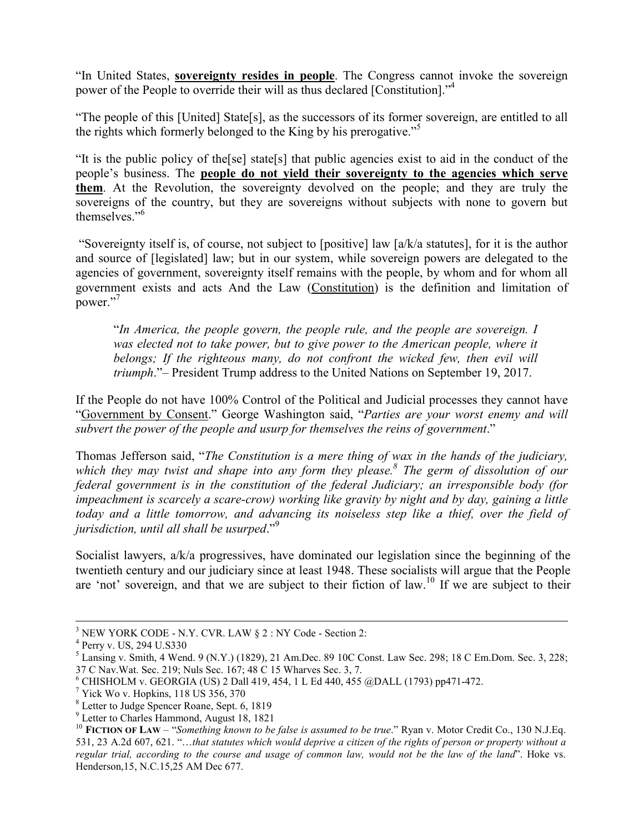"In United States, **sovereignty resides in people**. The Congress cannot invoke the sovereign power of the People to override their will as thus declared [Constitution]."<sup>4</sup>

"The people of this [United] State[s], as the successors of its former sovereign, are entitled to all the rights which formerly belonged to the King by his prerogative."<sup>5</sup>

"It is the public policy of the[se] state[s] that public agencies exist to aid in the conduct of the people's business. The **people do not yield their sovereignty to the agencies which serve them**. At the Revolution, the sovereignty devolved on the people; and they are truly the sovereigns of the country, but they are sovereigns without subjects with none to govern but themselves."<sup>6</sup>

 "Sovereignty itself is, of course, not subject to [positive] law [a/k/a statutes], for it is the author and source of [legislated] law; but in our system, while sovereign powers are delegated to the agencies of government, sovereignty itself remains with the people, by whom and for whom all government exists and acts And the Law (Constitution) is the definition and limitation of power."<sup>7</sup>

"*In America, the people govern, the people rule, and the people are sovereign. I was elected not to take power, but to give power to the American people, where it belongs; If the righteous many, do not confront the wicked few, then evil will triumph*."– President Trump address to the United Nations on September 19, 2017.

If the People do not have 100% Control of the Political and Judicial processes they cannot have "Government by Consent." George Washington said, "*Parties are your worst enemy and will subvert the power of the people and usurp for themselves the reins of government*."

Thomas Jefferson said, "*The Constitution is a mere thing of wax in the hands of the judiciary, which they may twist and shape into any form they please.<sup>8</sup> The germ of dissolution of our federal government is in the constitution of the federal Judiciary; an irresponsible body (for impeachment is scarcely a scare-crow) working like gravity by night and by day, gaining a little today and a little tomorrow, and advancing its noiseless step like a thief, over the field of jurisdiction, until all shall be usurped*."<sup>9</sup>

Socialist lawyers, a/k/a progressives, have dominated our legislation since the beginning of the twentieth century and our judiciary since at least 1948. These socialists will argue that the People are 'not' sovereign, and that we are subject to their fiction of law.<sup>10</sup> If we are subject to their

<sup>&</sup>lt;sup>3</sup> NEW YORK CODE - N.Y. CVR. LAW § 2 : NY Code - Section 2:

<sup>4</sup> Perry v. US, 294 U.S330

 $<sup>5</sup>$  Lansing v. Smith, 4 Wend. 9 (N.Y.) (1829), 21 Am.Dec. 89 10C Const. Law Sec. 298; 18 C Em.Dom. Sec. 3, 228;</sup> 37 C Nav.Wat. Sec. 219; Nuls Sec. 167; 48 C 15 Wharves Sec. 3, 7.

<sup>6</sup> CHISHOLM v. GEORGIA (US) 2 Dall 419, 454, 1 L Ed 440, 455 @DALL (1793) pp471-472.

<sup>&</sup>lt;sup>7</sup> Yick Wo v. Hopkins, 118 US 356, 370

<sup>8</sup> Letter to Judge Spencer Roane, Sept. 6, 1819

<sup>9</sup> Letter to Charles Hammond, August 18, 1821

<sup>&</sup>lt;sup>10</sup> **FICTION OF LAW** – "*Something known to be false is assumed to be true*." Ryan v. Motor Credit Co., 130 N.J.Eq. 531, 23 A.2d 607, 621. "…*that statutes which would deprive a citizen of the rights of person or property without a regular trial, according to the course and usage of common law, would not be the law of the land*". Hoke vs. Henderson,15, N.C.15,25 AM Dec 677.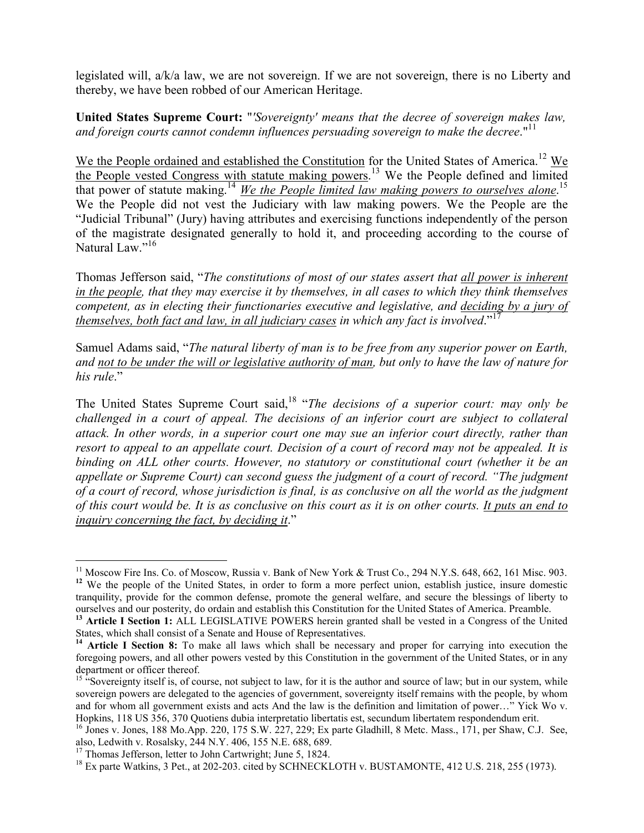legislated will, a/k/a law, we are not sovereign. If we are not sovereign, there is no Liberty and thereby, we have been robbed of our American Heritage.

**United States Supreme Court:** "*'Sovereignty' means that the decree of sovereign makes law,*  and foreign courts cannot condemn influences persuading sovereign to make the decree."<sup>11</sup>

We the People ordained and established the Constitution for the United States of America.<sup>12</sup> We the People vested Congress with statute making powers.<sup>13</sup> We the People defined and limited that power of statute making.<sup>14</sup> We the People limited law making powers to ourselves alone.<sup>15</sup> We the People did not vest the Judiciary with law making powers. We the People are the "Judicial Tribunal" (Jury) having attributes and exercising functions independently of the person of the magistrate designated generally to hold it, and proceeding according to the course of Natural Law."<sup>16</sup>

Thomas Jefferson said, "*The constitutions of most of our states assert that all power is inherent in the people, that they may exercise it by themselves, in all cases to which they think themselves competent, as in electing their functionaries executive and legislative, and deciding by a jury of themselves, both fact and law, in all judiciary cases in which any fact is involved*."<sup>17</sup>

Samuel Adams said, "*The natural liberty of man is to be free from any superior power on Earth, and not to be under the will or legislative authority of man, but only to have the law of nature for his rule*."

The United States Supreme Court said,<sup>18</sup> "*The decisions of a superior court: may only be challenged in a court of appeal. The decisions of an inferior court are subject to collateral attack. In other words, in a superior court one may sue an inferior court directly, rather than resort to appeal to an appellate court. Decision of a court of record may not be appealed. It is binding on ALL other courts. However, no statutory or constitutional court (whether it be an appellate or Supreme Court) can second guess the judgment of a court of record. "The judgment of a court of record, whose jurisdiction is final, is as conclusive on all the world as the judgment of this court would be. It is as conclusive on this court as it is on other courts. It puts an end to inquiry concerning the fact, by deciding it*."

<u>.</u>

<sup>&</sup>lt;sup>11</sup> Moscow Fire Ins. Co. of Moscow, Russia v. Bank of New York & Trust Co., 294 N.Y.S. 648, 662, 161 Misc. 903. <sup>12</sup> We the people of the United States, in order to form a more perfect union, establish justice, insure domestic tranquility, provide for the common defense, promote the general welfare, and secure the blessings of liberty to ourselves and our posterity, do ordain and establish this Constitution for the United States of America. Preamble.

**<sup>13</sup> Article I Section 1:** ALL LEGISLATIVE POWERS herein granted shall be vested in a Congress of the United States, which shall consist of a Senate and House of Representatives.

**<sup>14</sup> Article I Section 8:** To make all laws which shall be necessary and proper for carrying into execution the foregoing powers, and all other powers vested by this Constitution in the government of the United States, or in any department or officer thereof.

 $15$  "Sovereignty itself is, of course, not subject to law, for it is the author and source of law; but in our system, while sovereign powers are delegated to the agencies of government, sovereignty itself remains with the people, by whom and for whom all government exists and acts And the law is the definition and limitation of power…" Yick Wo v. Hopkins, 118 US 356, 370 Quotiens dubia interpretatio libertatis est, secundum libertatem respondendum erit.

 $^{16}$  Jones v. Jones, 188 Mo.App. 220, 175 S.W. 227, 229; Ex parte Gladhill, 8 Metc. Mass., 171, per Shaw, C.J. See, also, Ledwith v. Rosalsky, 244 N.Y. 406, 155 N.E. 688, 689.

 $17$  Thomas Jefferson, letter to John Cartwright; June 5, 1824.

<sup>&</sup>lt;sup>18</sup> Ex parte Watkins, 3 Pet., at 202-203. cited by SCHNECKLOTH v. BUSTAMONTE, 412 U.S. 218, 255 (1973).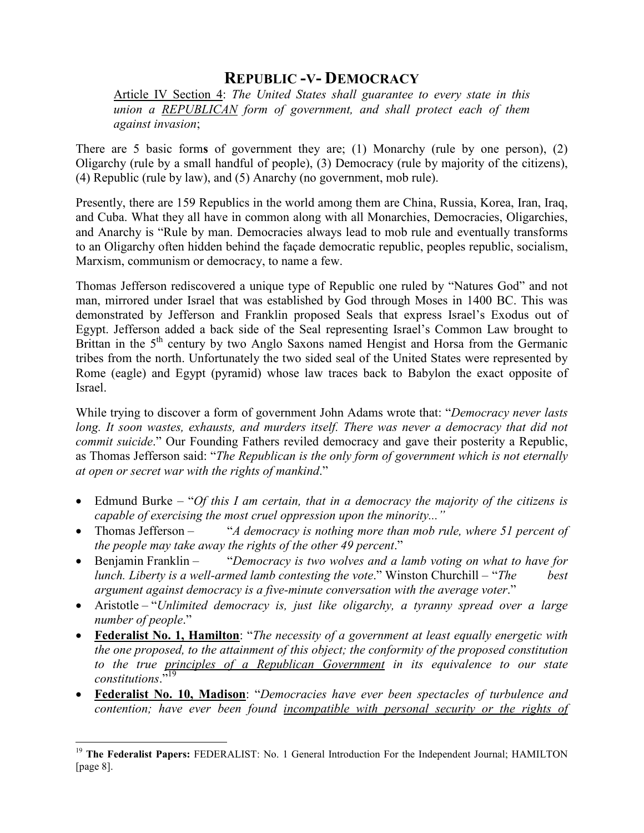## **REPUBLIC -V- DEMOCRACY**

Article IV Section 4: *The United States shall guarantee to every state in this union a REPUBLICAN form of government, and shall protect each of them against invasion*;

There are 5 basic form**s** of government they are; (1) Monarchy (rule by one person), (2) Oligarchy (rule by a small handful of people), (3) Democracy (rule by majority of the citizens), (4) Republic (rule by law), and (5) Anarchy (no government, mob rule).

Presently, there are 159 Republics in the world among them are China, Russia, Korea, Iran, Iraq, and Cuba. What they all have in common along with all Monarchies, Democracies, Oligarchies, and Anarchy is "Rule by man. Democracies always lead to mob rule and eventually transforms to an Oligarchy often hidden behind the façade democratic republic, peoples republic, socialism, Marxism, communism or democracy, to name a few.

Thomas Jefferson rediscovered a unique type of Republic one ruled by "Natures God" and not man, mirrored under Israel that was established by God through Moses in 1400 BC. This was demonstrated by Jefferson and Franklin proposed Seals that express Israel's Exodus out of Egypt. Jefferson added a back side of the Seal representing Israel's Common Law brought to Brittan in the  $5<sup>th</sup>$  century by two Anglo Saxons named Hengist and Horsa from the Germanic tribes from the north. Unfortunately the two sided seal of the United States were represented by Rome (eagle) and Egypt (pyramid) whose law traces back to Babylon the exact opposite of Israel.

While trying to discover a form of government John Adams wrote that: "*Democracy never lasts*  long. It soon wastes, exhausts, and murders itself. There was never a democracy that did not *commit suicide*." Our Founding Fathers reviled democracy and gave their posterity a Republic, as Thomas Jefferson said: "*The Republican is the only form of government which is not eternally at open or secret war with the rights of mankind*."

- Edmund Burke "*Of this I am certain, that in a democracy the majority of the citizens is capable of exercising the most cruel oppression upon the minority..."*
- Thomas Jefferson "*A democracy is nothing more than mob rule, where 51 percent of the people may take away the rights of the other 49 percent*."
- Benjamin Franklin "*Democracy is two wolves and a lamb voting on what to have for lunch. Liberty is a well-armed lamb contesting the vote*." Winston Churchill – "*The best argument against democracy is a five-minute conversation with the average voter*."
- Aristotle "*Unlimited democracy is, just like oligarchy, a tyranny spread over a large number of people*."
- **Federalist No. 1, Hamilton**: "*The necessity of a government at least equally energetic with the one proposed, to the attainment of this object; the conformity of the proposed constitution*  to the true principles of a Republican Government in its equivalence to our state *constitutions*."<sup>19</sup>
- **Federalist No. 10, Madison**: "*Democracies have ever been spectacles of turbulence and contention; have ever been found incompatible with personal security or the rights of*

<sup>-</sup><sup>19</sup> **The Federalist Papers:** FEDERALIST: No. 1 General Introduction For the Independent Journal; HAMILTON [page 8].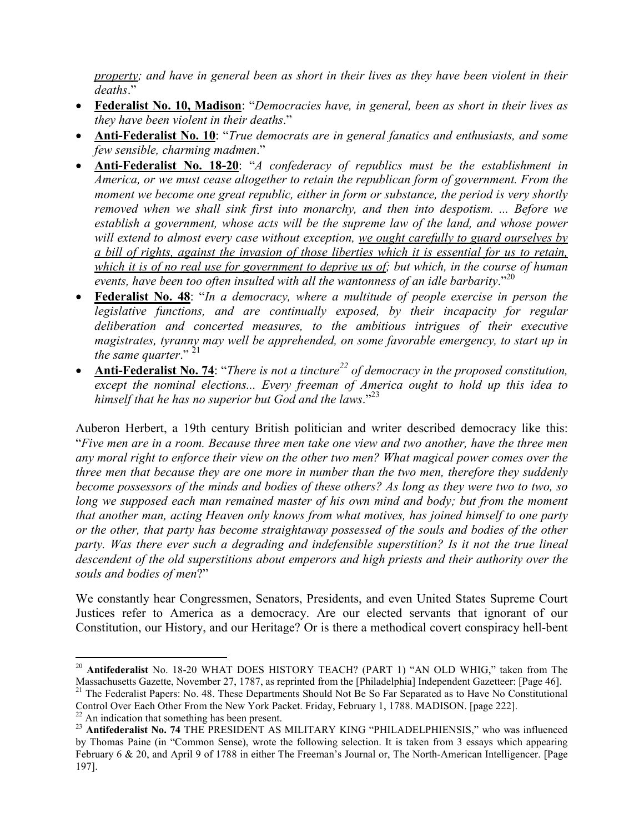*property; and have in general been as short in their lives as they have been violent in their deaths*."

- **Federalist No. 10, Madison**: "*Democracies have, in general, been as short in their lives as they have been violent in their deaths*."
- **Anti-Federalist No. 10**: "*True democrats are in general fanatics and enthusiasts, and some few sensible, charming madmen*."
- **Anti-Federalist No. 18-20**: "*A confederacy of republics must be the establishment in America, or we must cease altogether to retain the republican form of government. From the moment we become one great republic, either in form or substance, the period is very shortly removed when we shall sink first into monarchy, and then into despotism. ... Before we establish a government, whose acts will be the supreme law of the land, and whose power will extend to almost every case without exception, we ought carefully to guard ourselves by a bill of rights, against the invasion of those liberties which it is essential for us to retain, which it is of no real use for government to deprive us of; but which, in the course of human events, have been too often insulted with all the wantonness of an idle barbarity*."<sup>20</sup>
- **Federalist No. 48**: "*In a democracy, where a multitude of people exercise in person the legislative functions, and are continually exposed, by their incapacity for regular deliberation and concerted measures, to the ambitious intrigues of their executive magistrates, tyranny may well be apprehended, on some favorable emergency, to start up in the same quarter*." <sup>21</sup>
- **Anti-Federalist No. 74**: "*There is not a tincture*<sup>22</sup> of democracy in the proposed constitution, *except the nominal elections... Every freeman of America ought to hold up this idea to himself that he has no superior but God and the laws*."<sup>23</sup>

Auberon Herbert, a 19th century British politician and writer described democracy like this: "*Five men are in a room. Because three men take one view and two another, have the three men any moral right to enforce their view on the other two men? What magical power comes over the three men that because they are one more in number than the two men, therefore they suddenly become possessors of the minds and bodies of these others? As long as they were two to two, so long we supposed each man remained master of his own mind and body; but from the moment that another man, acting Heaven only knows from what motives, has joined himself to one party or the other, that party has become straightaway possessed of the souls and bodies of the other*  party. Was there ever such a degrading and indefensible superstition? Is it not the true lineal *descendent of the old superstitions about emperors and high priests and their authority over the souls and bodies of men*?"

We constantly hear Congressmen, Senators, Presidents, and even United States Supreme Court Justices refer to America as a democracy. Are our elected servants that ignorant of our Constitution, our History, and our Heritage? Or is there a methodical covert conspiracy hell-bent

 $\overline{a}$ 

<sup>20</sup> **Antifederalist** No. 18-20 WHAT DOES HISTORY TEACH? (PART 1) "AN OLD WHIG," taken from The Massachusetts Gazette, November 27, 1787, as reprinted from the [Philadelphia] Independent Gazetteer: [Page 46].

<sup>&</sup>lt;sup>21</sup> The Federalist Papers: No. 48. These Departments Should Not Be So Far Separated as to Have No Constitutional Control Over Each Other From the New York Packet. Friday, February 1, 1788. MADISON. [page 222].

An indication that something has been present.

<sup>&</sup>lt;sup>23</sup> Antifederalist No. 74 THE PRESIDENT AS MILITARY KING "PHILADELPHIENSIS," who was influenced by Thomas Paine (in "Common Sense), wrote the following selection. It is taken from 3 essays which appearing February 6 & 20, and April 9 of 1788 in either The Freeman's Journal or, The North-American Intelligencer. [Page 197].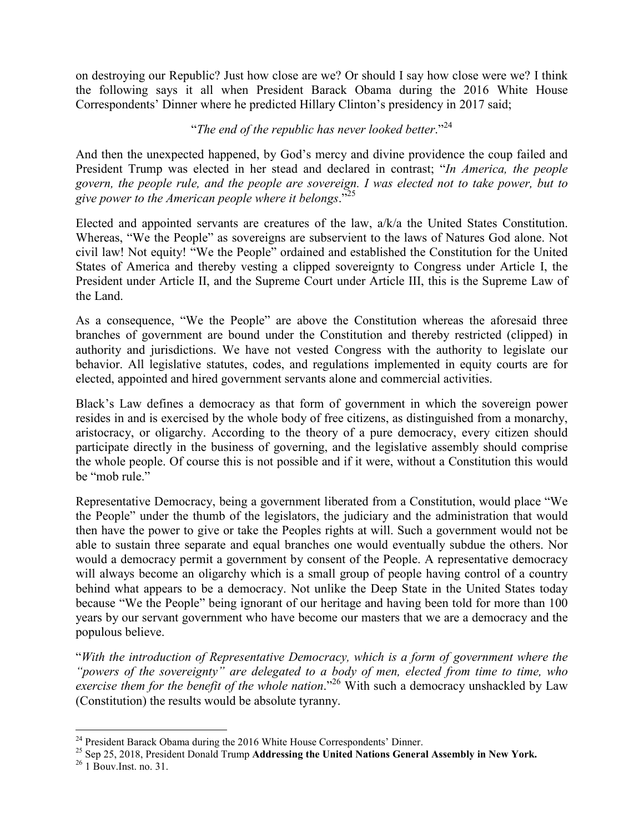on destroying our Republic? Just how close are we? Or should I say how close were we? I think the following says it all when President Barack Obama during the 2016 White House Correspondents' Dinner where he predicted Hillary Clinton's presidency in 2017 said;

#### "*The end of the republic has never looked better*."<sup>24</sup>

And then the unexpected happened, by God's mercy and divine providence the coup failed and President Trump was elected in her stead and declared in contrast; "*In America, the people govern, the people rule, and the people are sovereign. I was elected not to take power, but to give power to the American people where it belongs*."<sup>25</sup>

Elected and appointed servants are creatures of the law, a/k/a the United States Constitution. Whereas, "We the People" as sovereigns are subservient to the laws of Natures God alone. Not civil law! Not equity! "We the People" ordained and established the Constitution for the United States of America and thereby vesting a clipped sovereignty to Congress under Article I, the President under Article II, and the Supreme Court under Article III, this is the Supreme Law of the Land.

As a consequence, "We the People" are above the Constitution whereas the aforesaid three branches of government are bound under the Constitution and thereby restricted (clipped) in authority and jurisdictions. We have not vested Congress with the authority to legislate our behavior. All legislative statutes, codes, and regulations implemented in equity courts are for elected, appointed and hired government servants alone and commercial activities.

Black's Law defines a democracy as that form of government in which the sovereign power resides in and is exercised by the whole body of free citizens, as distinguished from a monarchy, aristocracy, or oligarchy. According to the theory of a pure democracy, every citizen should participate directly in the business of governing, and the legislative assembly should comprise the whole people. Of course this is not possible and if it were, without a Constitution this would be "mob rule."

Representative Democracy, being a government liberated from a Constitution, would place "We the People" under the thumb of the legislators, the judiciary and the administration that would then have the power to give or take the Peoples rights at will. Such a government would not be able to sustain three separate and equal branches one would eventually subdue the others. Nor would a democracy permit a government by consent of the People. A representative democracy will always become an oligarchy which is a small group of people having control of a country behind what appears to be a democracy. Not unlike the Deep State in the United States today because "We the People" being ignorant of our heritage and having been told for more than 100 years by our servant government who have become our masters that we are a democracy and the populous believe.

"*With the introduction of Representative Democracy, which is a form of government where the "powers of the sovereignty" are delegated to a body of men, elected from time to time, who exercise them for the benefit of the whole nation*."<sup>26</sup> With such a democracy unshackled by Law (Constitution) the results would be absolute tyranny.

 $\overline{a}$ <sup>24</sup> President Barack Obama during the 2016 White House Correspondents' Dinner.

<sup>25</sup> Sep 25, 2018, President Donald Trump **Addressing the United Nations General Assembly in New York.** 

 $26$  1 Bouv. Inst. no. 31.